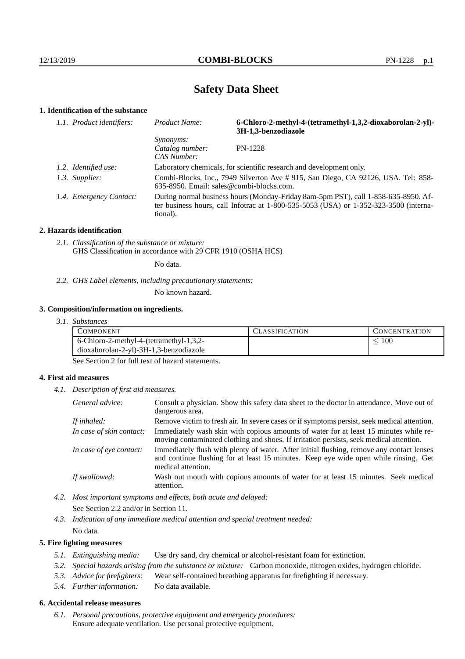# **Safety Data Sheet**

## **1. Identification of the substance**

| 1.1. Product identifiers: | <b>Product Name:</b>                               | 6-Chloro-2-methyl-4-(tetramethyl-1,3,2-dioxaborolan-2-yl)-<br>3H-1,3-benzodiazole                                                                                           |
|---------------------------|----------------------------------------------------|-----------------------------------------------------------------------------------------------------------------------------------------------------------------------------|
|                           | <i>Synonyms:</i><br>Catalog number:<br>CAS Number: | <b>PN-1228</b>                                                                                                                                                              |
| 1.2. Identified use:      |                                                    | Laboratory chemicals, for scientific research and development only.                                                                                                         |
| 1.3. Supplier:            | 635-8950. Email: sales@combi-blocks.com.           | Combi-Blocks, Inc., 7949 Silverton Ave # 915, San Diego, CA 92126, USA. Tel: 858-                                                                                           |
| 1.4. Emergency Contact:   | tional).                                           | During normal business hours (Monday-Friday 8am-5pm PST), call 1-858-635-8950. Af-<br>ter business hours, call Infotrac at 1-800-535-5053 (USA) or 1-352-323-3500 (interna- |

#### **2. Hazards identification**

*2.1. Classification of the substance or mixture:* GHS Classification in accordance with 29 CFR 1910 (OSHA HCS)

No data.

*2.2. GHS Label elements, including precautionary statements:*

No known hazard.

#### **3. Composition/information on ingredients.**

*3.1. Substances*

| COMPONENT                               | ' LASSIFICATION | CONCENTRATION. |
|-----------------------------------------|-----------------|----------------|
| 6-Chloro-2-methyl-4-(tetramethyl-1,3,2- |                 | 100            |
| dioxaborolan-2-yl)-3H-1,3-benzodiazole  |                 |                |
| - -                                     |                 |                |

See Section 2 for full text of hazard statements.

#### **4. First aid measures**

*4.1. Description of first aid measures.*

| General advice:          | Consult a physician. Show this safety data sheet to the doctor in attendance. Move out of<br>dangerous area.                                                                                            |
|--------------------------|---------------------------------------------------------------------------------------------------------------------------------------------------------------------------------------------------------|
| If inhaled:              | Remove victim to fresh air. In severe cases or if symptoms persist, seek medical attention.                                                                                                             |
| In case of skin contact: | Immediately wash skin with copious amounts of water for at least 15 minutes while re-<br>moving contaminated clothing and shoes. If irritation persists, seek medical attention.                        |
| In case of eye contact:  | Immediately flush with plenty of water. After initial flushing, remove any contact lenses<br>and continue flushing for at least 15 minutes. Keep eye wide open while rinsing. Get<br>medical attention. |
| If swallowed:            | Wash out mouth with copious amounts of water for at least 15 minutes. Seek medical<br>attention.                                                                                                        |

*4.2. Most important symptoms and effects, both acute and delayed:* See Section 2.2 and/or in Section 11.

*4.3. Indication of any immediate medical attention and special treatment needed:* No data.

### **5. Fire fighting measures**

- *5.1. Extinguishing media:* Use dry sand, dry chemical or alcohol-resistant foam for extinction.
- *5.2. Special hazards arising from the substance or mixture:* Carbon monoxide, nitrogen oxides, hydrogen chloride.
- *5.3. Advice for firefighters:* Wear self-contained breathing apparatus for firefighting if necessary.
- *5.4. Further information:* No data available.

## **6. Accidental release measures**

*6.1. Personal precautions, protective equipment and emergency procedures:* Ensure adequate ventilation. Use personal protective equipment.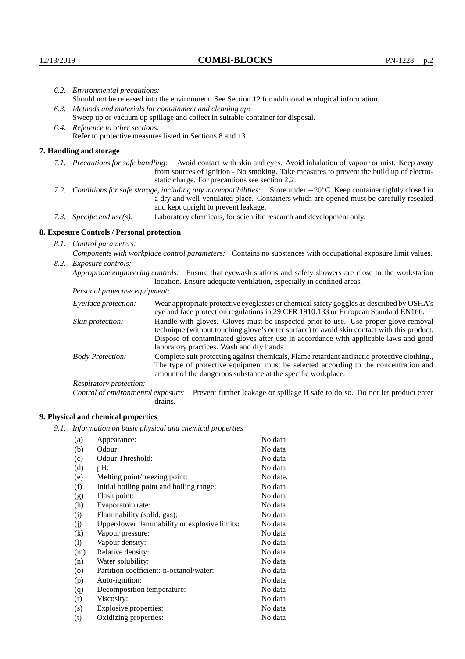|      | 6.2. Environmental precautions:                                                                                                                                                        |                                                                                                                                                                                                                                                                    |  |
|------|----------------------------------------------------------------------------------------------------------------------------------------------------------------------------------------|--------------------------------------------------------------------------------------------------------------------------------------------------------------------------------------------------------------------------------------------------------------------|--|
|      |                                                                                                                                                                                        | Should not be released into the environment. See Section 12 for additional ecological information.                                                                                                                                                                 |  |
|      | 6.3. Methods and materials for containment and cleaning up:                                                                                                                            |                                                                                                                                                                                                                                                                    |  |
|      |                                                                                                                                                                                        | Sweep up or vacuum up spillage and collect in suitable container for disposal.                                                                                                                                                                                     |  |
|      | 6.4. Reference to other sections:                                                                                                                                                      |                                                                                                                                                                                                                                                                    |  |
|      |                                                                                                                                                                                        | Refer to protective measures listed in Sections 8 and 13.                                                                                                                                                                                                          |  |
|      | 7. Handling and storage                                                                                                                                                                |                                                                                                                                                                                                                                                                    |  |
|      |                                                                                                                                                                                        | 7.1. Precautions for safe handling: Avoid contact with skin and eyes. Avoid inhalation of vapour or mist. Keep away<br>from sources of ignition - No smoking. Take measures to prevent the build up of electro-<br>static charge. For precautions see section 2.2. |  |
| 7.2. |                                                                                                                                                                                        | Conditions for safe storage, including any incompatibilities: Store under $-20^{\circ}$ C. Keep container tightly closed in<br>a dry and well-ventilated place. Containers which are opened must be carefully resealed<br>and kept upright to prevent leakage.     |  |
|      | 7.3. Specific end use(s):                                                                                                                                                              | Laboratory chemicals, for scientific research and development only.                                                                                                                                                                                                |  |
|      | 8. Exposure Controls / Personal protection                                                                                                                                             |                                                                                                                                                                                                                                                                    |  |
|      | 8.1. Control parameters:                                                                                                                                                               |                                                                                                                                                                                                                                                                    |  |
|      |                                                                                                                                                                                        | Components with workplace control parameters: Contains no substances with occupational exposure limit values.                                                                                                                                                      |  |
| 8.2. | Exposure controls:                                                                                                                                                                     |                                                                                                                                                                                                                                                                    |  |
|      | Appropriate engineering controls: Ensure that eyewash stations and safety showers are close to the workstation<br>location. Ensure adequate ventilation, especially in confined areas. |                                                                                                                                                                                                                                                                    |  |
|      | Personal protective equipment:                                                                                                                                                         |                                                                                                                                                                                                                                                                    |  |
|      | Eye/face protection:                                                                                                                                                                   | Wear appropriate protective eyeglasses or chemical safety goggles as described by OSHA's<br>eye and face protection regulations in 29 CFR 1910.133 or European Standard EN166.                                                                                     |  |
|      | Skin protection:                                                                                                                                                                       | Handle with gloves. Gloves must be inspected prior to use. Use proper glove removal<br>technique (without touching glove's outer surface) to avoid skin contact with this product.                                                                                 |  |

Dispose of contaminated gloves after use in accordance with applicable laws and good laboratory practices. Wash and dry hands Body Protection: Complete suit protecting against chemicals, Flame retardant antistatic protective clothing.,

The type of protective equipment must be selected according to the concentration and amount of the dangerous substance at the specific workplace.

Respiratory protection:

Control of environmental exposure: Prevent further leakage or spillage if safe to do so. Do not let product enter drains.

# **9. Physical and chemical properties**

*9.1. Information on basic physical and chemical properties*

| (a)               | Appearance:                                   | No data  |
|-------------------|-----------------------------------------------|----------|
| (b)               | Odour:                                        | No data  |
| (c)               | Odour Threshold:                              | No data  |
| (d)               | $pH$ :                                        | No data  |
| (e)               | Melting point/freezing point:                 | No date. |
| (f)               | Initial boiling point and boiling range:      | No data  |
| (g)               | Flash point:                                  | No data  |
| (h)               | Evaporatoin rate:                             | No data  |
| (i)               | Flammability (solid, gas):                    | No data  |
| (j)               | Upper/lower flammability or explosive limits: | No data  |
| $\left( k\right)$ | Vapour pressure:                              | No data  |
| (1)               | Vapour density:                               | No data  |
| (m)               | Relative density:                             | No data  |
| (n)               | Water solubility:                             | No data  |
| $\circ$           | Partition coefficient: n-octanol/water:       | No data  |
| (p)               | Auto-ignition:                                | No data  |
| (q)               | Decomposition temperature:                    | No data  |
| (r)               | Viscosity:                                    | No data  |
| (s)               | Explosive properties:                         | No data  |
| (t)               | Oxidizing properties:                         | No data  |
|                   |                                               |          |